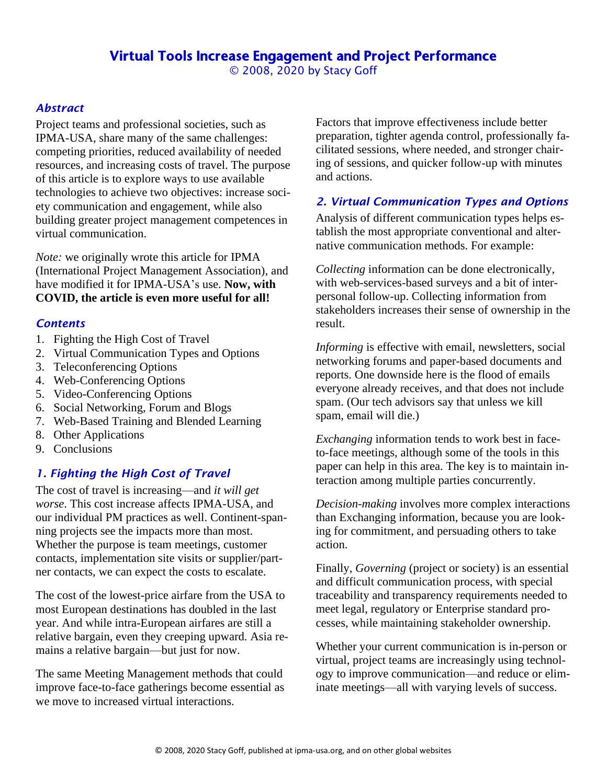### Virtual Tools Increase Engagement and Project Performance © 2008, 2020 by Stacy Goff

#### *Abstract*

Project teams and professional societies, such as IPMA-USA, share many of the same challenges: competing priorities, reduced availability of needed resources, and increasing costs of travel. The purpose of this article is to explore ways to use available technologies to achieve two objectives: increase society communication and engagement, while also building greater project management competences in virtual communication.

*Note:* we originally wrote this article for IPMA (International Project Management Association), and have modified it for IPMA-USA's use. **Now, with COVID, the article is even more useful for all!**

#### *Contents*

- 1. Fighting the High Cost of Travel
- 2. Virtual Communication Types and Options
- 3. Teleconferencing Options
- 4. Web-Conferencing Options
- 5. Video-Conferencing Options
- 6. Social Networking, Forum and Blogs
- 7. Web-Based Training and Blended Learning
- 8. Other Applications
- 9. Conclusions

#### *1. Fighting the High Cost of Travel*

The cost of travel is increasing—and *it will get worse*. This cost increase affects IPMA-USA, and our individual PM practices as well. Continent-spanning projects see the impacts more than most. Whether the purpose is team meetings, customer contacts, implementation site visits or supplier/partner contacts, we can expect the costs to escalate.

The cost of the lowest-price airfare from the USA to most European destinations has doubled in the last year. And while intra-European airfares are still a relative bargain, even they creeping upward. Asia remains a relative bargain—but just for now.

The same Meeting Management methods that could improve face-to-face gatherings become essential as we move to increased virtual interactions.

Factors that improve effectiveness include better preparation, tighter agenda control, professionally facilitated sessions, where needed, and stronger chairing of sessions, and quicker follow-up with minutes and actions.

#### *2. Virtual Communication Types and Options*

Analysis of different communication types helps establish the most appropriate conventional and alternative communication methods. For example:

*Collecting* information can be done electronically, with web-services-based surveys and a bit of interpersonal follow-up. Collecting information from stakeholders increases their sense of ownership in the result.

*Informing* is effective with email, newsletters, social networking forums and paper-based documents and reports. One downside here is the flood of emails everyone already receives, and that does not include spam. (Our tech advisors say that unless we kill spam, email will die.)

*Exchanging* information tends to work best in faceto-face meetings, although some of the tools in this paper can help in this area. The key is to maintain interaction among multiple parties concurrently.

*Decision-making* involves more complex interactions than Exchanging information, because you are looking for commitment, and persuading others to take action.

Finally, *Governing* (project or society) is an essential and difficult communication process, with special traceability and transparency requirements needed to meet legal, regulatory or Enterprise standard processes, while maintaining stakeholder ownership.

Whether your current communication is in-person or virtual, project teams are increasingly using technology to improve communication—and reduce or eliminate meetings—all with varying levels of success.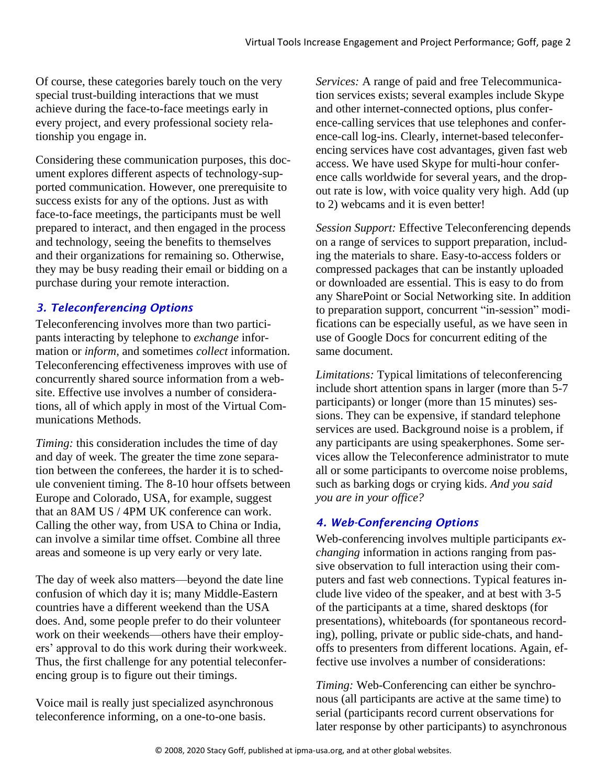Of course, these categories barely touch on the very special trust-building interactions that we must achieve during the face-to-face meetings early in every project, and every professional society relationship you engage in.

Considering these communication purposes, this document explores different aspects of technology-supported communication. However, one prerequisite to success exists for any of the options. Just as with face-to-face meetings, the participants must be well prepared to interact, and then engaged in the process and technology, seeing the benefits to themselves and their organizations for remaining so. Otherwise, they may be busy reading their email or bidding on a purchase during your remote interaction.

## *3. Teleconferencing Options*

Teleconferencing involves more than two participants interacting by telephone to *exchange* information or *inform*, and sometimes *collect* information. Teleconferencing effectiveness improves with use of concurrently shared source information from a website. Effective use involves a number of considerations, all of which apply in most of the Virtual Communications Methods.

*Timing:* this consideration includes the time of day and day of week. The greater the time zone separation between the conferees, the harder it is to schedule convenient timing. The 8-10 hour offsets between Europe and Colorado, USA, for example, suggest that an 8AM US / 4PM UK conference can work. Calling the other way, from USA to China or India, can involve a similar time offset. Combine all three areas and someone is up very early or very late.

The day of week also matters—beyond the date line confusion of which day it is; many Middle-Eastern countries have a different weekend than the USA does. And, some people prefer to do their volunteer work on their weekends—others have their employers' approval to do this work during their workweek. Thus, the first challenge for any potential teleconferencing group is to figure out their timings.

Voice mail is really just specialized asynchronous teleconference informing, on a one-to-one basis.

*Services:* A range of paid and free Telecommunication services exists; several examples include Skype and other internet-connected options, plus conference-calling services that use telephones and conference-call log-ins. Clearly, internet-based teleconferencing services have cost advantages, given fast web access. We have used Skype for multi-hour conference calls worldwide for several years, and the dropout rate is low, with voice quality very high. Add (up to 2) webcams and it is even better!

*Session Support:* Effective Teleconferencing depends on a range of services to support preparation, including the materials to share. Easy-to-access folders or compressed packages that can be instantly uploaded or downloaded are essential. This is easy to do from any SharePoint or Social Networking site. In addition to preparation support, concurrent "in-session" modifications can be especially useful, as we have seen in use of Google Docs for concurrent editing of the same document.

*Limitations:* Typical limitations of teleconferencing include short attention spans in larger (more than 5-7 participants) or longer (more than 15 minutes) sessions. They can be expensive, if standard telephone services are used. Background noise is a problem, if any participants are using speakerphones. Some services allow the Teleconference administrator to mute all or some participants to overcome noise problems, such as barking dogs or crying kids. *And you said you are in your office?*

# *4. Web-Conferencing Options*

Web-conferencing involves multiple participants *exchanging* information in actions ranging from passive observation to full interaction using their computers and fast web connections. Typical features include live video of the speaker, and at best with 3-5 of the participants at a time, shared desktops (for presentations), whiteboards (for spontaneous recording), polling, private or public side-chats, and handoffs to presenters from different locations. Again, effective use involves a number of considerations:

*Timing:* Web-Conferencing can either be synchronous (all participants are active at the same time) to serial (participants record current observations for later response by other participants) to asynchronous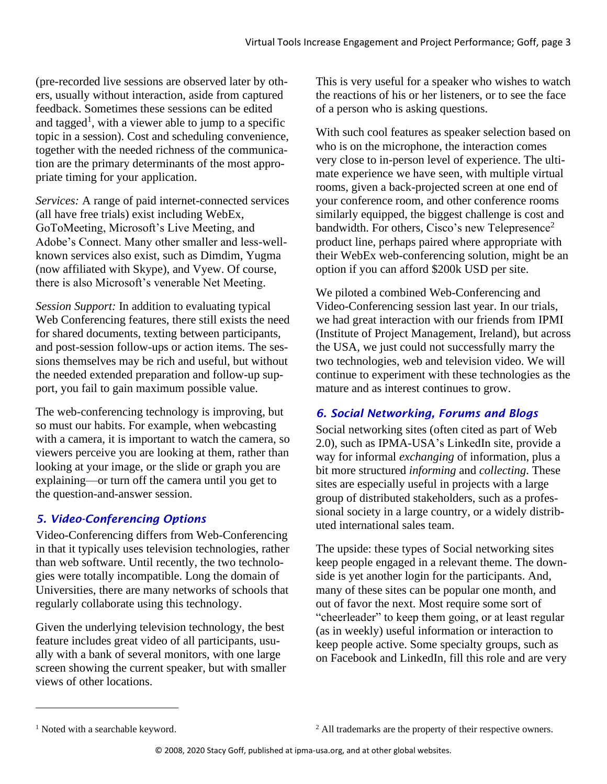(pre-recorded live sessions are observed later by others, usually without interaction, aside from captured feedback. Sometimes these sessions can be edited and tagged<sup>1</sup>, with a viewer able to jump to a specific topic in a session). Cost and scheduling convenience, together with the needed richness of the communication are the primary determinants of the most appropriate timing for your application.

*Services:* A range of paid internet-connected services (all have free trials) exist including WebEx, GoToMeeting, Microsoft's Live Meeting, and Adobe's Connect. Many other smaller and less-wellknown services also exist, such as Dimdim, Yugma (now affiliated with Skype), and Vyew. Of course, there is also Microsoft's venerable Net Meeting.

*Session Support:* In addition to evaluating typical Web Conferencing features, there still exists the need for shared documents, texting between participants, and post-session follow-ups or action items. The sessions themselves may be rich and useful, but without the needed extended preparation and follow-up support, you fail to gain maximum possible value.

The web-conferencing technology is improving, but so must our habits. For example, when webcasting with a camera, it is important to watch the camera, so viewers perceive you are looking at them, rather than looking at your image, or the slide or graph you are explaining—or turn off the camera until you get to the question-and-answer session.

# *5. Video-Conferencing Options*

Video-Conferencing differs from Web-Conferencing in that it typically uses television technologies, rather than web software. Until recently, the two technologies were totally incompatible. Long the domain of Universities, there are many networks of schools that regularly collaborate using this technology.

Given the underlying television technology, the best feature includes great video of all participants, usually with a bank of several monitors, with one large screen showing the current speaker, but with smaller views of other locations.

This is very useful for a speaker who wishes to watch the reactions of his or her listeners, or to see the face of a person who is asking questions.

With such cool features as speaker selection based on who is on the microphone, the interaction comes very close to in-person level of experience. The ultimate experience we have seen, with multiple virtual rooms, given a back-projected screen at one end of your conference room, and other conference rooms similarly equipped, the biggest challenge is cost and bandwidth. For others, Cisco's new Telepresence<sup>2</sup> product line, perhaps paired where appropriate with their WebEx web-conferencing solution, might be an option if you can afford \$200k USD per site.

We piloted a combined Web-Conferencing and Video-Conferencing session last year. In our trials, we had great interaction with our friends from IPMI (Institute of Project Management, Ireland), but across the USA, we just could not successfully marry the two technologies, web and television video. We will continue to experiment with these technologies as the mature and as interest continues to grow.

# *6. Social Networking, Forums and Blogs*

Social networking sites (often cited as part of Web 2.0), such as IPMA-USA's LinkedIn site, provide a way for informal *exchanging* of information, plus a bit more structured *informing* and *collecting*. These sites are especially useful in projects with a large group of distributed stakeholders, such as a professional society in a large country, or a widely distributed international sales team.

The upside: these types of Social networking sites keep people engaged in a relevant theme. The downside is yet another login for the participants. And, many of these sites can be popular one month, and out of favor the next. Most require some sort of "cheerleader" to keep them going, or at least regular (as in weekly) useful information or interaction to keep people active. Some specialty groups, such as on Facebook and LinkedIn, fill this role and are very

<sup>&</sup>lt;sup>1</sup> Noted with a searchable keyword.

<sup>&</sup>lt;sup>2</sup> All trademarks are the property of their respective owners.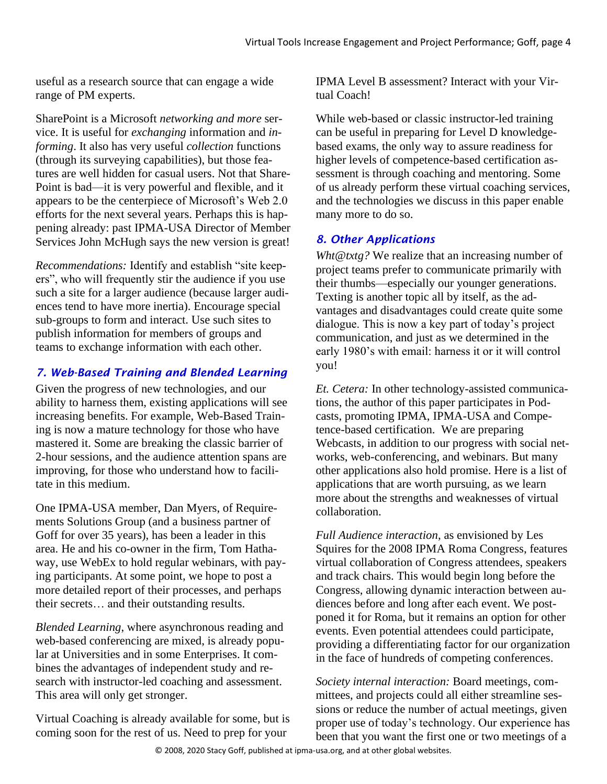useful as a research source that can engage a wide range of PM experts.

SharePoint is a Microsoft *networking and more* service. It is useful for *exchanging* information and *informing*. It also has very useful *collection* functions (through its surveying capabilities), but those features are well hidden for casual users. Not that Share-Point is bad—it is very powerful and flexible, and it appears to be the centerpiece of Microsoft's Web 2.0 efforts for the next several years. Perhaps this is happening already: past IPMA-USA Director of Member Services John McHugh says the new version is great!

*Recommendations:* Identify and establish "site keepers", who will frequently stir the audience if you use such a site for a larger audience (because larger audiences tend to have more inertia). Encourage special sub-groups to form and interact. Use such sites to publish information for members of groups and teams to exchange information with each other.

## *7. Web-Based Training and Blended Learning*

Given the progress of new technologies, and our ability to harness them, existing applications will see increasing benefits. For example, Web-Based Training is now a mature technology for those who have mastered it. Some are breaking the classic barrier of 2-hour sessions, and the audience attention spans are improving, for those who understand how to facilitate in this medium.

One IPMA-USA member, Dan Myers, of Requirements Solutions Group (and a business partner of Goff for over 35 years), has been a leader in this area. He and his co-owner in the firm, Tom Hathaway, use WebEx to hold regular webinars, with paying participants. At some point, we hope to post a more detailed report of their processes, and perhaps their secrets… and their outstanding results.

*Blended Learning*, where asynchronous reading and web-based conferencing are mixed, is already popular at Universities and in some Enterprises. It combines the advantages of independent study and research with instructor-led coaching and assessment. This area will only get stronger.

Virtual Coaching is already available for some, but is coming soon for the rest of us. Need to prep for your

IPMA Level B assessment? Interact with your Virtual Coach!

While web-based or classic instructor-led training can be useful in preparing for Level D knowledgebased exams, the only way to assure readiness for higher levels of competence-based certification assessment is through coaching and mentoring. Some of us already perform these virtual coaching services, and the technologies we discuss in this paper enable many more to do so.

### *8. Other Applications*

*Wht@txtg?* We realize that an increasing number of project teams prefer to communicate primarily with their thumbs—especially our younger generations. Texting is another topic all by itself, as the advantages and disadvantages could create quite some dialogue. This is now a key part of today's project communication, and just as we determined in the early 1980's with email: harness it or it will control you!

*Et. Cetera:* In other technology-assisted communications, the author of this paper participates in Podcasts, promoting IPMA, IPMA-USA and Competence-based certification. We are preparing Webcasts, in addition to our progress with social networks, web-conferencing, and webinars. But many other applications also hold promise. Here is a list of applications that are worth pursuing, as we learn more about the strengths and weaknesses of virtual collaboration.

*Full Audience interaction*, as envisioned by Les Squires for the 2008 IPMA Roma Congress, features virtual collaboration of Congress attendees, speakers and track chairs. This would begin long before the Congress, allowing dynamic interaction between audiences before and long after each event. We postponed it for Roma, but it remains an option for other events. Even potential attendees could participate, providing a differentiating factor for our organization in the face of hundreds of competing conferences.

*Society internal interaction:* Board meetings, committees, and projects could all either streamline sessions or reduce the number of actual meetings, given proper use of today's technology. Our experience has been that you want the first one or two meetings of a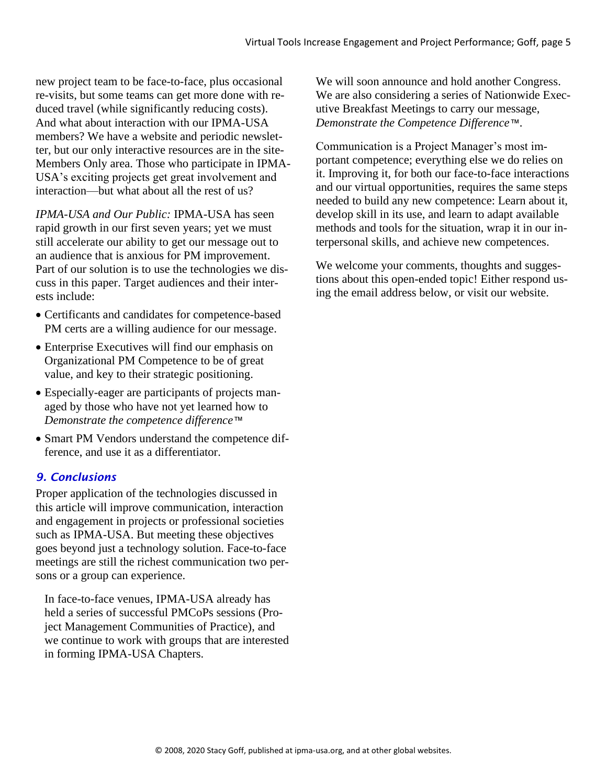new project team to be face-to-face, plus occasional re-visits, but some teams can get more done with reduced travel (while significantly reducing costs). And what about interaction with our IPMA-USA members? We have a website and periodic newsletter, but our only interactive resources are in the site-Members Only area. Those who participate in IPMA-USA's exciting projects get great involvement and interaction—but what about all the rest of us?

*IPMA-USA and Our Public:* IPMA-USA has seen rapid growth in our first seven years; yet we must still accelerate our ability to get our message out to an audience that is anxious for PM improvement. Part of our solution is to use the technologies we discuss in this paper. Target audiences and their interests include:

- Certificants and candidates for competence-based PM certs are a willing audience for our message.
- Enterprise Executives will find our emphasis on Organizational PM Competence to be of great value, and key to their strategic positioning.
- Especially-eager are participants of projects managed by those who have not yet learned how to *Demonstrate the competence difference™*
- Smart PM Vendors understand the competence difference, and use it as a differentiator.

### *9. Conclusions*

Proper application of the technologies discussed in this article will improve communication, interaction and engagement in projects or professional societies such as IPMA-USA. But meeting these objectives goes beyond just a technology solution. Face-to-face meetings are still the richest communication two persons or a group can experience.

In face-to-face venues, IPMA-USA already has held a series of successful PMCoPs sessions (Project Management Communities of Practice), and we continue to work with groups that are interested in forming IPMA-USA Chapters.

We will soon announce and hold another Congress. We are also considering a series of Nationwide Executive Breakfast Meetings to carry our message, *Demonstrate the Competence Difference™*.

Communication is a Project Manager's most important competence; everything else we do relies on it. Improving it, for both our face-to-face interactions and our virtual opportunities, requires the same steps needed to build any new competence: Learn about it, develop skill in its use, and learn to adapt available methods and tools for the situation, wrap it in our interpersonal skills, and achieve new competences.

We welcome your comments, thoughts and suggestions about this open-ended topic! Either respond using the email address below, or visit our website.